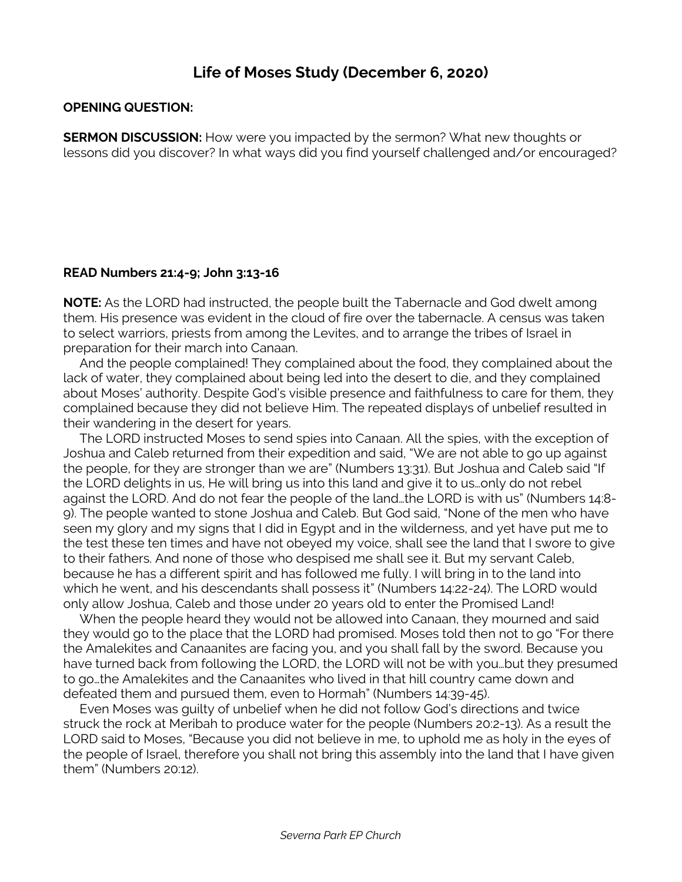## **Life of Moses Study (December 6, 2020)**

## **OPENING QUESTION:**

**SERMON DISCUSSION:** How were you impacted by the sermon? What new thoughts or lessons did you discover? In what ways did you find yourself challenged and/or encouraged?

## **READ Numbers 21:4-9; John 3:13-16**

**NOTE:** As the LORD had instructed, the people built the Tabernacle and God dwelt among them. His presence was evident in the cloud of fire over the tabernacle. A census was taken to select warriors, priests from among the Levites, and to arrange the tribes of Israel in preparation for their march into Canaan.

 And the people complained! They complained about the food, they complained about the lack of water, they complained about being led into the desert to die, and they complained about Moses' authority. Despite God's visible presence and faithfulness to care for them, they complained because they did not believe Him. The repeated displays of unbelief resulted in their wandering in the desert for years.

 The LORD instructed Moses to send spies into Canaan. All the spies, with the exception of Joshua and Caleb returned from their expedition and said, "We are not able to go up against the people, for they are stronger than we are" (Numbers 13:31). But Joshua and Caleb said "If the LORD delights in us, He will bring us into this land and give it to us…only do not rebel against the LORD. And do not fear the people of the land…the LORD is with us" (Numbers 14:8- 9). The people wanted to stone Joshua and Caleb. But God said, "None of the men who have seen my glory and my signs that I did in Egypt and in the wilderness, and yet have put me to the test these ten times and have not obeyed my voice, shall see the land that I swore to give to their fathers. And none of those who despised me shall see it. But my servant Caleb, because he has a different spirit and has followed me fully. I will bring in to the land into which he went, and his descendants shall possess it" (Numbers 14:22-24). The LORD would only allow Joshua, Caleb and those under 20 years old to enter the Promised Land!

 When the people heard they would not be allowed into Canaan, they mourned and said they would go to the place that the LORD had promised. Moses told then not to go "For there the Amalekites and Canaanites are facing you, and you shall fall by the sword. Because you have turned back from following the LORD, the LORD will not be with you…but they presumed to go…the Amalekites and the Canaanites who lived in that hill country came down and defeated them and pursued them, even to Hormah" (Numbers 14:39-45).

 Even Moses was guilty of unbelief when he did not follow God's directions and twice struck the rock at Meribah to produce water for the people (Numbers 20:2-13). As a result the LORD said to Moses, "Because you did not believe in me, to uphold me as holy in the eyes of the people of Israel, therefore you shall not bring this assembly into the land that I have given them" (Numbers 20:12).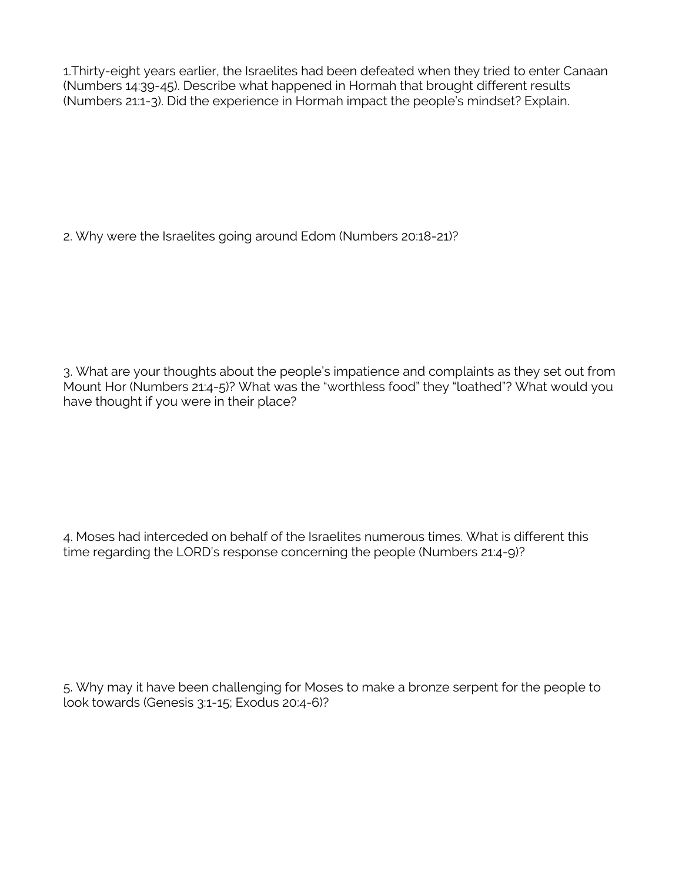1.Thirty-eight years earlier, the Israelites had been defeated when they tried to enter Canaan (Numbers 14:39-45). Describe what happened in Hormah that brought different results (Numbers 21:1-3). Did the experience in Hormah impact the people's mindset? Explain.

2. Why were the Israelites going around Edom (Numbers 20:18-21)?

3. What are your thoughts about the people's impatience and complaints as they set out from Mount Hor (Numbers 21:4-5)? What was the "worthless food" they "loathed"? What would you have thought if you were in their place?

4. Moses had interceded on behalf of the Israelites numerous times. What is different this time regarding the LORD's response concerning the people (Numbers 21:4-9)?

5. Why may it have been challenging for Moses to make a bronze serpent for the people to look towards (Genesis 3:1-15; Exodus 20:4-6)?